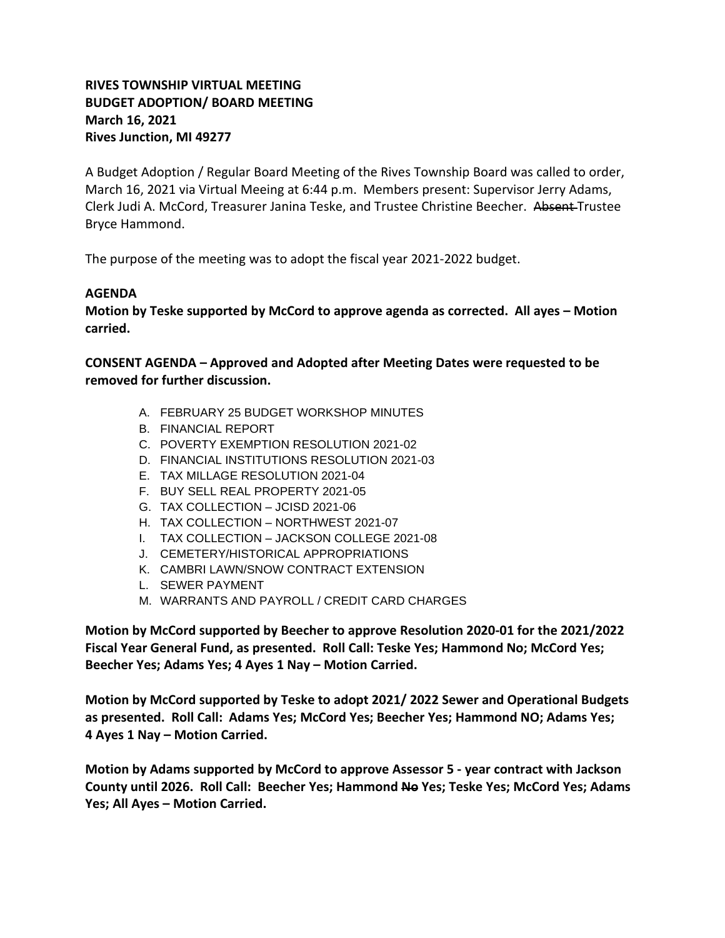## **RIVES TOWNSHIP VIRTUAL MEETING BUDGET ADOPTION/ BOARD MEETING March 16, 2021 Rives Junction, MI 49277**

A Budget Adoption / Regular Board Meeting of the Rives Township Board was called to order, March 16, 2021 via Virtual Meeing at 6:44 p.m. Members present: Supervisor Jerry Adams, Clerk Judi A. McCord, Treasurer Janina Teske, and Trustee Christine Beecher. Absent Trustee Bryce Hammond.

The purpose of the meeting was to adopt the fiscal year 2021-2022 budget.

## **AGENDA**

**Motion by Teske supported by McCord to approve agenda as corrected. All ayes – Motion carried.**

**CONSENT AGENDA – Approved and Adopted after Meeting Dates were requested to be removed for further discussion.** 

- A. FEBRUARY 25 BUDGET WORKSHOP MINUTES
- B. FINANCIAL REPORT
- C. POVERTY EXEMPTION RESOLUTION 2021-02
- D. FINANCIAL INSTITUTIONS RESOLUTION 2021-03
- E. TAX MILLAGE RESOLUTION 2021-04
- F. BUY SELL REAL PROPERTY 2021-05
- G. TAX COLLECTION JCISD 2021-06
- H. TAX COLLECTION NORTHWEST 2021-07
- I. TAX COLLECTION JACKSON COLLEGE 2021-08
- J. CEMETERY/HISTORICAL APPROPRIATIONS
- K. CAMBRI LAWN/SNOW CONTRACT EXTENSION
- L. SEWER PAYMENT
- M. WARRANTS AND PAYROLL / CREDIT CARD CHARGES

**Motion by McCord supported by Beecher to approve Resolution 2020-01 for the 2021/2022 Fiscal Year General Fund, as presented. Roll Call: Teske Yes; Hammond No; McCord Yes; Beecher Yes; Adams Yes; 4 Ayes 1 Nay – Motion Carried.**

**Motion by McCord supported by Teske to adopt 2021/ 2022 Sewer and Operational Budgets as presented. Roll Call: Adams Yes; McCord Yes; Beecher Yes; Hammond NO; Adams Yes; 4 Ayes 1 Nay – Motion Carried.**

**Motion by Adams supported by McCord to approve Assessor 5 - year contract with Jackson County until 2026. Roll Call: Beecher Yes; Hammond No Yes; Teske Yes; McCord Yes; Adams Yes; All Ayes – Motion Carried.**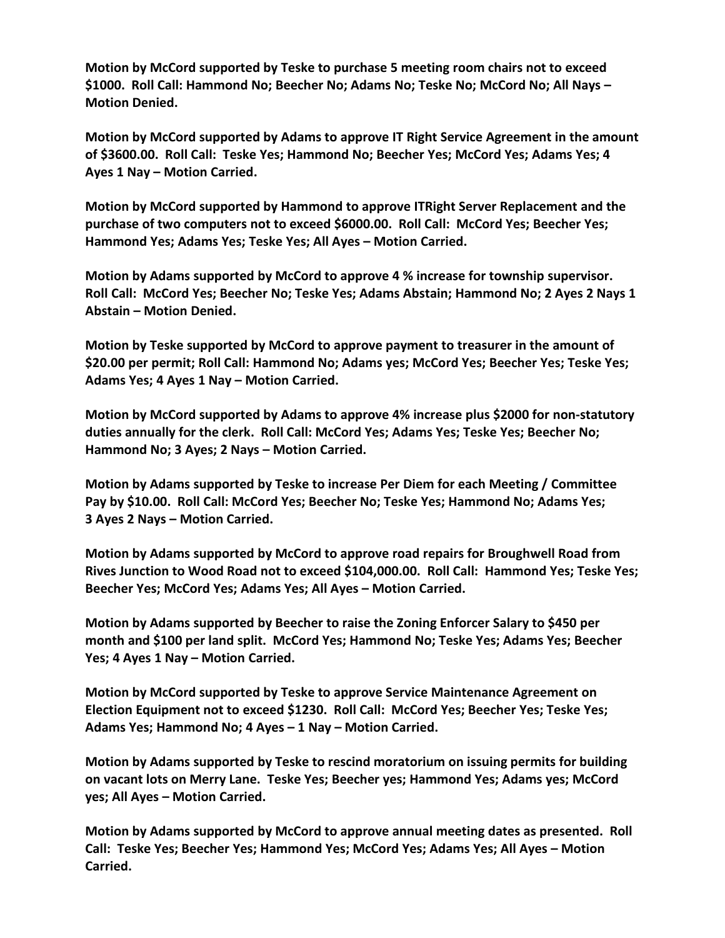**Motion by McCord supported by Teske to purchase 5 meeting room chairs not to exceed \$1000. Roll Call: Hammond No; Beecher No; Adams No; Teske No; McCord No; All Nays – Motion Denied.**

**Motion by McCord supported by Adams to approve IT Right Service Agreement in the amount of \$3600.00. Roll Call: Teske Yes; Hammond No; Beecher Yes; McCord Yes; Adams Yes; 4 Ayes 1 Nay – Motion Carried.**

**Motion by McCord supported by Hammond to approve ITRight Server Replacement and the purchase of two computers not to exceed \$6000.00. Roll Call: McCord Yes; Beecher Yes; Hammond Yes; Adams Yes; Teske Yes; All Ayes – Motion Carried.**

**Motion by Adams supported by McCord to approve 4 % increase for township supervisor. Roll Call: McCord Yes; Beecher No; Teske Yes; Adams Abstain; Hammond No; 2 Ayes 2 Nays 1 Abstain – Motion Denied.**

**Motion by Teske supported by McCord to approve payment to treasurer in the amount of \$20.00 per permit; Roll Call: Hammond No; Adams yes; McCord Yes; Beecher Yes; Teske Yes; Adams Yes; 4 Ayes 1 Nay – Motion Carried.**

**Motion by McCord supported by Adams to approve 4% increase plus \$2000 for non-statutory duties annually for the clerk. Roll Call: McCord Yes; Adams Yes; Teske Yes; Beecher No; Hammond No; 3 Ayes; 2 Nays – Motion Carried.**

**Motion by Adams supported by Teske to increase Per Diem for each Meeting / Committee Pay by \$10.00. Roll Call: McCord Yes; Beecher No; Teske Yes; Hammond No; Adams Yes; 3 Ayes 2 Nays – Motion Carried.**

**Motion by Adams supported by McCord to approve road repairs for Broughwell Road from Rives Junction to Wood Road not to exceed \$104,000.00. Roll Call: Hammond Yes; Teske Yes; Beecher Yes; McCord Yes; Adams Yes; All Ayes – Motion Carried.**

**Motion by Adams supported by Beecher to raise the Zoning Enforcer Salary to \$450 per month and \$100 per land split. McCord Yes; Hammond No; Teske Yes; Adams Yes; Beecher Yes; 4 Ayes 1 Nay – Motion Carried.**

**Motion by McCord supported by Teske to approve Service Maintenance Agreement on Election Equipment not to exceed \$1230. Roll Call: McCord Yes; Beecher Yes; Teske Yes; Adams Yes; Hammond No; 4 Ayes – 1 Nay – Motion Carried.**

**Motion by Adams supported by Teske to rescind moratorium on issuing permits for building on vacant lots on Merry Lane. Teske Yes; Beecher yes; Hammond Yes; Adams yes; McCord yes; All Ayes – Motion Carried.**

**Motion by Adams supported by McCord to approve annual meeting dates as presented. Roll Call: Teske Yes; Beecher Yes; Hammond Yes; McCord Yes; Adams Yes; All Ayes – Motion Carried.**